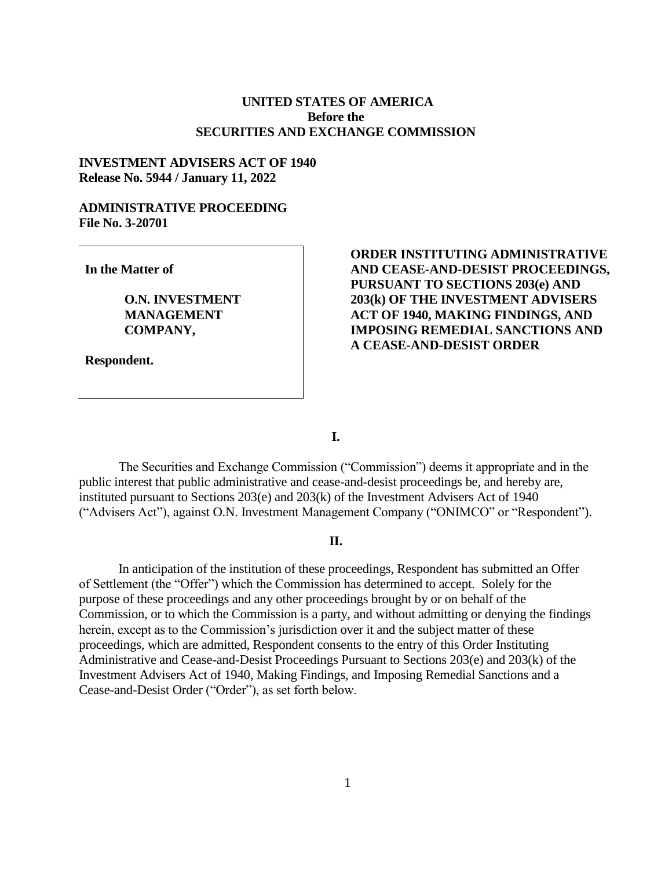## **UNITED STATES OF AMERICA Before the SECURITIES AND EXCHANGE COMMISSION**

### **INVESTMENT ADVISERS ACT OF 1940 Release No. 5944 / January 11, 2022**

# **ADMINISTRATIVE PROCEEDING File No. 3-20701**

**In the Matter of**

**O.N. INVESTMENT MANAGEMENT COMPANY,**

**Respondent.**

# **ORDER INSTITUTING ADMINISTRATIVE AND CEASE-AND-DESIST PROCEEDINGS, PURSUANT TO SECTIONS 203(e) AND 203(k) OF THE INVESTMENT ADVISERS ACT OF 1940, MAKING FINDINGS, AND IMPOSING REMEDIAL SANCTIONS AND A CEASE-AND-DESIST ORDER**

**I.**

The Securities and Exchange Commission ("Commission") deems it appropriate and in the public interest that public administrative and cease-and-desist proceedings be, and hereby are, instituted pursuant to Sections 203(e) and 203(k) of the Investment Advisers Act of 1940 ("Advisers Act"), against O.N. Investment Management Company ("ONIMCO" or "Respondent").

### **II.**

In anticipation of the institution of these proceedings, Respondent has submitted an Offer of Settlement (the "Offer") which the Commission has determined to accept. Solely for the purpose of these proceedings and any other proceedings brought by or on behalf of the Commission, or to which the Commission is a party, and without admitting or denying the findings herein, except as to the Commission's jurisdiction over it and the subject matter of these proceedings, which are admitted, Respondent consents to the entry of this Order Instituting Administrative and Cease-and-Desist Proceedings Pursuant to Sections 203(e) and 203(k) of the Investment Advisers Act of 1940, Making Findings, and Imposing Remedial Sanctions and a Cease-and-Desist Order ("Order"), as set forth below.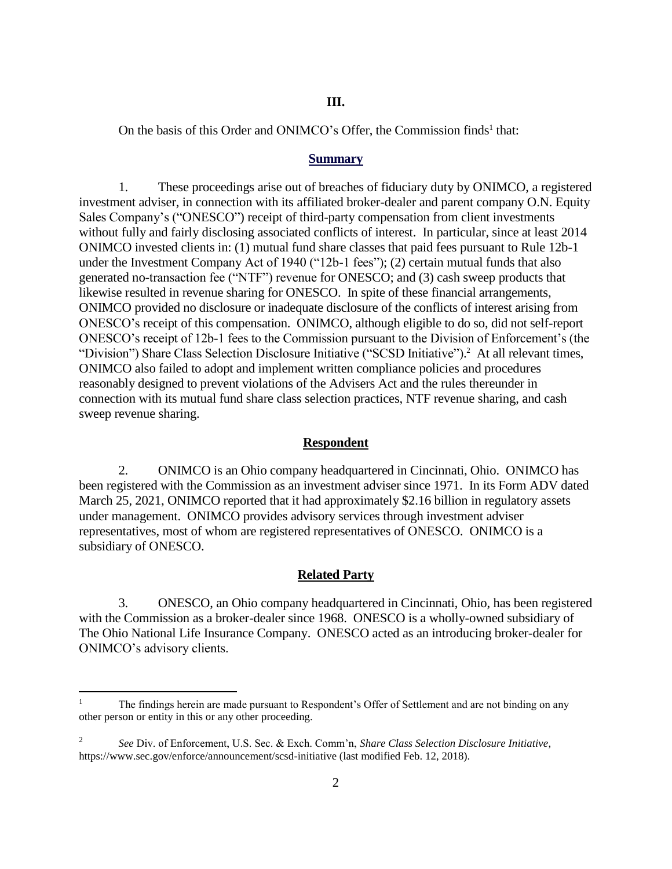### **III.**

On the basis of this Order and ONIMCO's Offer, the Commission finds<sup>1</sup> that:

#### **Summary**

1. These proceedings arise out of breaches of fiduciary duty by ONIMCO, a registered investment adviser, in connection with its affiliated broker-dealer and parent company O.N. Equity Sales Company's ("ONESCO") receipt of third-party compensation from client investments without fully and fairly disclosing associated conflicts of interest. In particular, since at least 2014 ONIMCO invested clients in: (1) mutual fund share classes that paid fees pursuant to Rule 12b-1 under the Investment Company Act of 1940 ("12b-1 fees"); (2) certain mutual funds that also generated no-transaction fee ("NTF") revenue for ONESCO; and (3) cash sweep products that likewise resulted in revenue sharing for ONESCO. In spite of these financial arrangements, ONIMCO provided no disclosure or inadequate disclosure of the conflicts of interest arising from ONESCO's receipt of this compensation. ONIMCO, although eligible to do so, did not self-report ONESCO's receipt of 12b-1 fees to the Commission pursuant to the Division of Enforcement's (the "Division") Share Class Selection Disclosure Initiative ("SCSD Initiative").<sup>2</sup> At all relevant times, ONIMCO also failed to adopt and implement written compliance policies and procedures reasonably designed to prevent violations of the Advisers Act and the rules thereunder in connection with its mutual fund share class selection practices, NTF revenue sharing, and cash sweep revenue sharing.

#### **Respondent**

2. ONIMCO is an Ohio company headquartered in Cincinnati, Ohio. ONIMCO has been registered with the Commission as an investment adviser since 1971. In its Form ADV dated March 25, 2021, ONIMCO reported that it had approximately \$2.16 billion in regulatory assets under management. ONIMCO provides advisory services through investment adviser representatives, most of whom are registered representatives of ONESCO. ONIMCO is a subsidiary of ONESCO.

### **Related Party**

3. ONESCO, an Ohio company headquartered in Cincinnati, Ohio, has been registered with the Commission as a broker-dealer since 1968. ONESCO is a wholly-owned subsidiary of The Ohio National Life Insurance Company. ONESCO acted as an introducing broker-dealer for ONIMCO's advisory clients.

 $\overline{a}$ 

<sup>1</sup> The findings herein are made pursuant to Respondent's Offer of Settlement and are not binding on any other person or entity in this or any other proceeding.

<sup>2</sup> *See* Div. of Enforcement, U.S. Sec. & Exch. Comm'n, *Share Class Selection Disclosure Initiative*, https://www.sec.gov/enforce/announcement/scsd-initiative (last modified Feb. 12, 2018).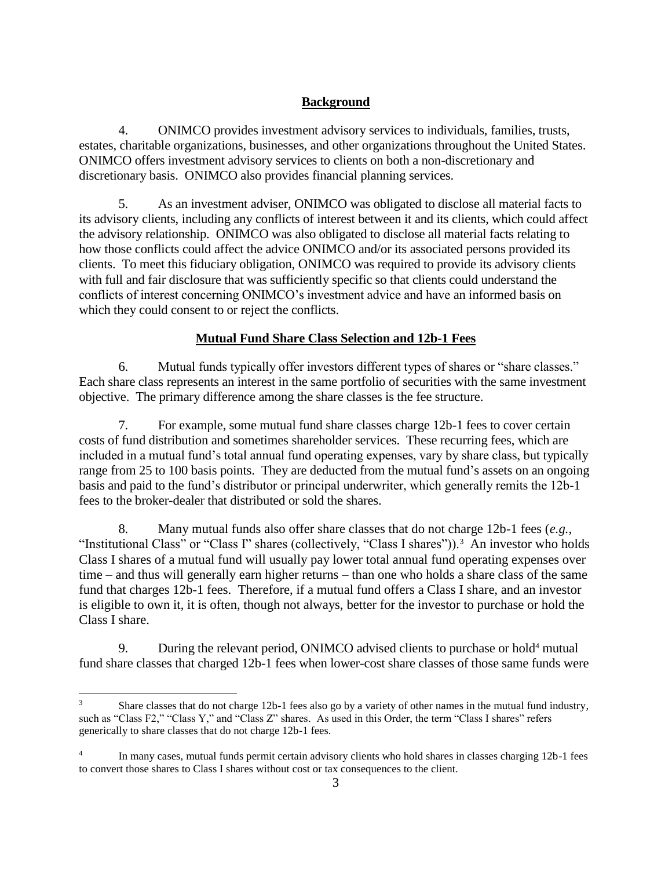# **Background**

4. ONIMCO provides investment advisory services to individuals, families, trusts, estates, charitable organizations, businesses, and other organizations throughout the United States. ONIMCO offers investment advisory services to clients on both a non-discretionary and discretionary basis. ONIMCO also provides financial planning services.

5. As an investment adviser, ONIMCO was obligated to disclose all material facts to its advisory clients, including any conflicts of interest between it and its clients, which could affect the advisory relationship. ONIMCO was also obligated to disclose all material facts relating to how those conflicts could affect the advice ONIMCO and/or its associated persons provided its clients. To meet this fiduciary obligation, ONIMCO was required to provide its advisory clients with full and fair disclosure that was sufficiently specific so that clients could understand the conflicts of interest concerning ONIMCO's investment advice and have an informed basis on which they could consent to or reject the conflicts.

# **Mutual Fund Share Class Selection and 12b-1 Fees**

6. Mutual funds typically offer investors different types of shares or "share classes." Each share class represents an interest in the same portfolio of securities with the same investment objective. The primary difference among the share classes is the fee structure.

7. For example, some mutual fund share classes charge 12b-1 fees to cover certain costs of fund distribution and sometimes shareholder services. These recurring fees, which are included in a mutual fund's total annual fund operating expenses, vary by share class, but typically range from 25 to 100 basis points. They are deducted from the mutual fund's assets on an ongoing basis and paid to the fund's distributor or principal underwriter, which generally remits the 12b-1 fees to the broker-dealer that distributed or sold the shares.

8. Many mutual funds also offer share classes that do not charge 12b-1 fees (*e.g.*, "Institutional Class" or "Class I" shares (collectively, "Class I shares")).<sup>3</sup> An investor who holds Class I shares of a mutual fund will usually pay lower total annual fund operating expenses over time – and thus will generally earn higher returns – than one who holds a share class of the same fund that charges 12b-1 fees. Therefore, if a mutual fund offers a Class I share, and an investor is eligible to own it, it is often, though not always, better for the investor to purchase or hold the Class I share.

9. During the relevant period, ONIMCO advised clients to purchase or hold<sup>4</sup> mutual fund share classes that charged 12b-1 fees when lower-cost share classes of those same funds were

 $\overline{a}$ 

<sup>&</sup>lt;sup>3</sup> Share classes that do not charge 12b-1 fees also go by a variety of other names in the mutual fund industry, such as "Class F2," "Class Y," and "Class Z" shares. As used in this Order, the term "Class I shares" refers generically to share classes that do not charge 12b-1 fees.

<sup>4</sup> In many cases, mutual funds permit certain advisory clients who hold shares in classes charging 12b-1 fees to convert those shares to Class I shares without cost or tax consequences to the client.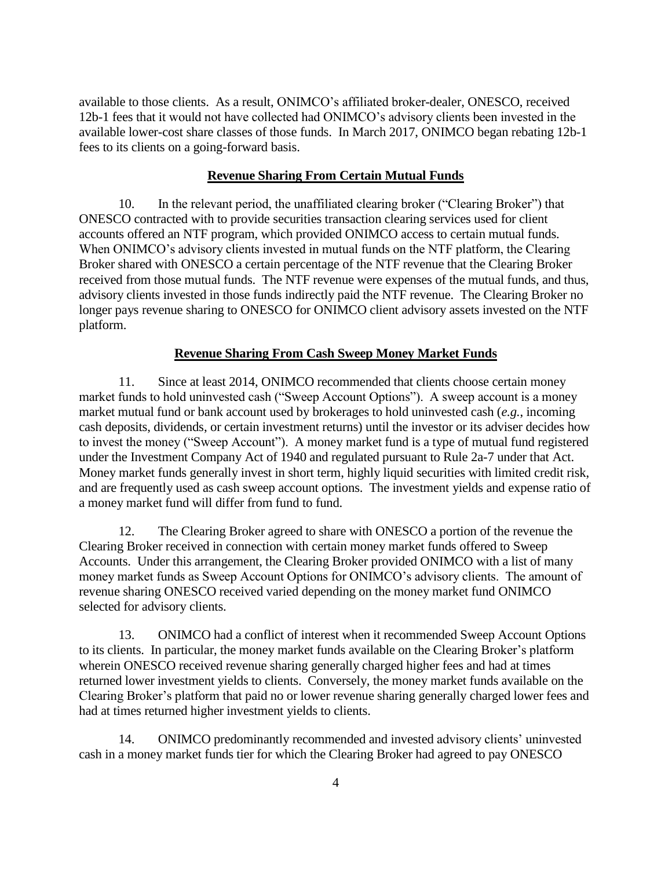available to those clients. As a result, ONIMCO's affiliated broker-dealer, ONESCO, received 12b-1 fees that it would not have collected had ONIMCO's advisory clients been invested in the available lower-cost share classes of those funds. In March 2017, ONIMCO began rebating 12b-1 fees to its clients on a going-forward basis.

### **Revenue Sharing From Certain Mutual Funds**

10. In the relevant period, the unaffiliated clearing broker ("Clearing Broker") that ONESCO contracted with to provide securities transaction clearing services used for client accounts offered an NTF program, which provided ONIMCO access to certain mutual funds. When ONIMCO's advisory clients invested in mutual funds on the NTF platform, the Clearing Broker shared with ONESCO a certain percentage of the NTF revenue that the Clearing Broker received from those mutual funds. The NTF revenue were expenses of the mutual funds, and thus, advisory clients invested in those funds indirectly paid the NTF revenue. The Clearing Broker no longer pays revenue sharing to ONESCO for ONIMCO client advisory assets invested on the NTF platform.

### **Revenue Sharing From Cash Sweep Money Market Funds**

11. Since at least 2014, ONIMCO recommended that clients choose certain money market funds to hold uninvested cash ("Sweep Account Options"). A sweep account is a money market mutual fund or bank account used by brokerages to hold uninvested cash (*e.g.*, incoming cash deposits, dividends, or certain investment returns) until the investor or its adviser decides how to invest the money ("Sweep Account"). A money market fund is a type of mutual fund registered under the Investment Company Act of 1940 and regulated pursuant to Rule 2a-7 under that Act. Money market funds generally invest in short term, highly liquid securities with limited credit risk, and are frequently used as cash sweep account options. The investment yields and expense ratio of a money market fund will differ from fund to fund.

12. The Clearing Broker agreed to share with ONESCO a portion of the revenue the Clearing Broker received in connection with certain money market funds offered to Sweep Accounts. Under this arrangement, the Clearing Broker provided ONIMCO with a list of many money market funds as Sweep Account Options for ONIMCO's advisory clients. The amount of revenue sharing ONESCO received varied depending on the money market fund ONIMCO selected for advisory clients.

13. ONIMCO had a conflict of interest when it recommended Sweep Account Options to its clients. In particular, the money market funds available on the Clearing Broker's platform wherein ONESCO received revenue sharing generally charged higher fees and had at times returned lower investment yields to clients. Conversely, the money market funds available on the Clearing Broker's platform that paid no or lower revenue sharing generally charged lower fees and had at times returned higher investment yields to clients.

14. ONIMCO predominantly recommended and invested advisory clients' uninvested cash in a money market funds tier for which the Clearing Broker had agreed to pay ONESCO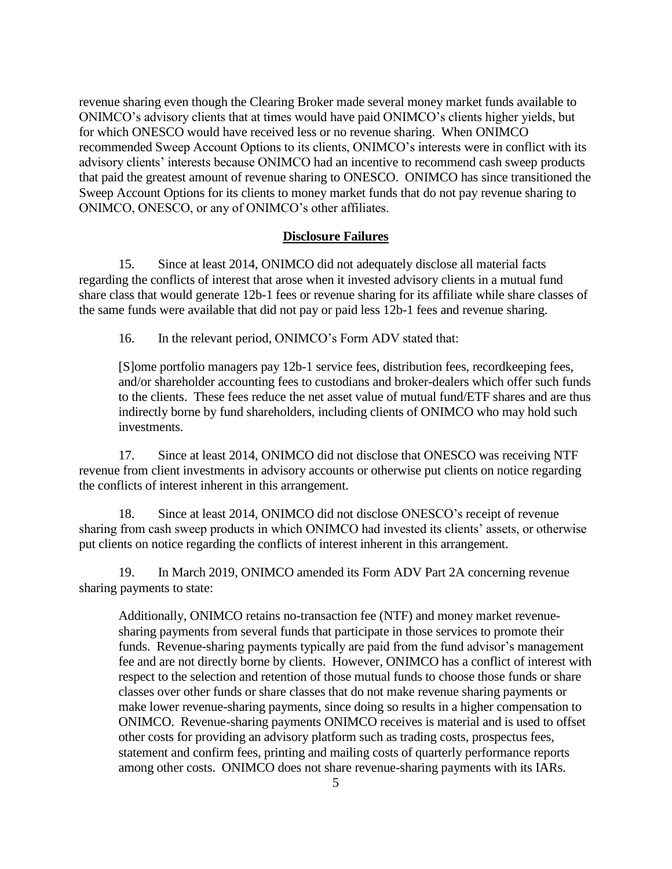revenue sharing even though the Clearing Broker made several money market funds available to ONIMCO's advisory clients that at times would have paid ONIMCO's clients higher yields, but for which ONESCO would have received less or no revenue sharing. When ONIMCO recommended Sweep Account Options to its clients, ONIMCO's interests were in conflict with its advisory clients' interests because ONIMCO had an incentive to recommend cash sweep products that paid the greatest amount of revenue sharing to ONESCO. ONIMCO has since transitioned the Sweep Account Options for its clients to money market funds that do not pay revenue sharing to ONIMCO, ONESCO, or any of ONIMCO's other affiliates.

### **Disclosure Failures**

15. Since at least 2014, ONIMCO did not adequately disclose all material facts regarding the conflicts of interest that arose when it invested advisory clients in a mutual fund share class that would generate 12b-1 fees or revenue sharing for its affiliate while share classes of the same funds were available that did not pay or paid less 12b-1 fees and revenue sharing.

16. In the relevant period, ONIMCO's Form ADV stated that:

[S]ome portfolio managers pay 12b-1 service fees, distribution fees, recordkeeping fees, and/or shareholder accounting fees to custodians and broker-dealers which offer such funds to the clients. These fees reduce the net asset value of mutual fund/ETF shares and are thus indirectly borne by fund shareholders, including clients of ONIMCO who may hold such investments.

17. Since at least 2014, ONIMCO did not disclose that ONESCO was receiving NTF revenue from client investments in advisory accounts or otherwise put clients on notice regarding the conflicts of interest inherent in this arrangement.

18. Since at least 2014, ONIMCO did not disclose ONESCO's receipt of revenue sharing from cash sweep products in which ONIMCO had invested its clients' assets, or otherwise put clients on notice regarding the conflicts of interest inherent in this arrangement.

19. In March 2019, ONIMCO amended its Form ADV Part 2A concerning revenue sharing payments to state:

Additionally, ONIMCO retains no-transaction fee (NTF) and money market revenuesharing payments from several funds that participate in those services to promote their funds. Revenue-sharing payments typically are paid from the fund advisor's management fee and are not directly borne by clients. However, ONIMCO has a conflict of interest with respect to the selection and retention of those mutual funds to choose those funds or share classes over other funds or share classes that do not make revenue sharing payments or make lower revenue-sharing payments, since doing so results in a higher compensation to ONIMCO. Revenue-sharing payments ONIMCO receives is material and is used to offset other costs for providing an advisory platform such as trading costs, prospectus fees, statement and confirm fees, printing and mailing costs of quarterly performance reports among other costs. ONIMCO does not share revenue-sharing payments with its IARs.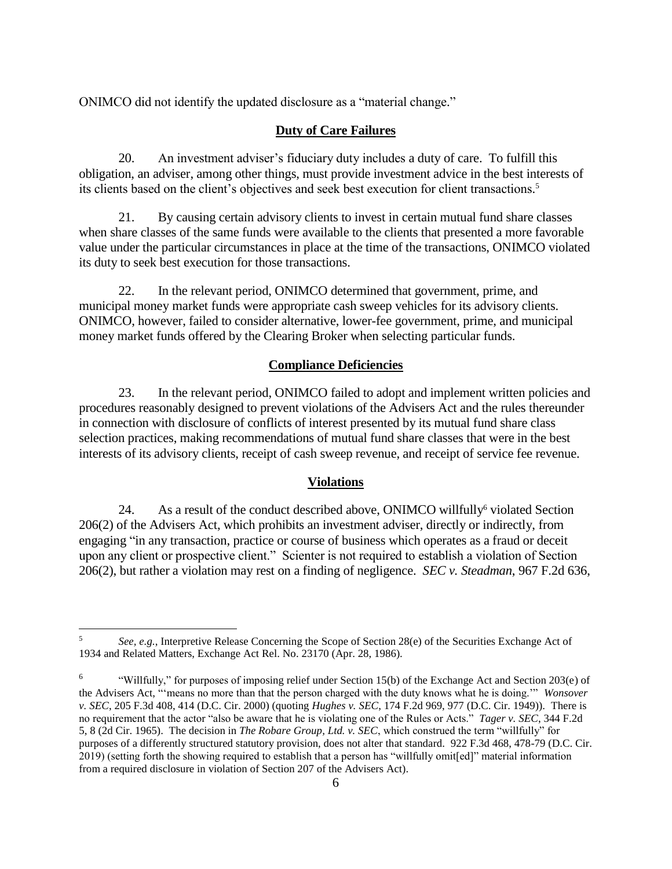ONIMCO did not identify the updated disclosure as a "material change."

#### **Duty of Care Failures**

20. An investment adviser's fiduciary duty includes a duty of care. To fulfill this obligation, an adviser, among other things, must provide investment advice in the best interests of its clients based on the client's objectives and seek best execution for client transactions. 5

21. By causing certain advisory clients to invest in certain mutual fund share classes when share classes of the same funds were available to the clients that presented a more favorable value under the particular circumstances in place at the time of the transactions, ONIMCO violated its duty to seek best execution for those transactions.

22. In the relevant period, ONIMCO determined that government, prime, and municipal money market funds were appropriate cash sweep vehicles for its advisory clients. ONIMCO, however, failed to consider alternative, lower-fee government, prime, and municipal money market funds offered by the Clearing Broker when selecting particular funds.

### **Compliance Deficiencies**

23. In the relevant period, ONIMCO failed to adopt and implement written policies and procedures reasonably designed to prevent violations of the Advisers Act and the rules thereunder in connection with disclosure of conflicts of interest presented by its mutual fund share class selection practices, making recommendations of mutual fund share classes that were in the best interests of its advisory clients, receipt of cash sweep revenue, and receipt of service fee revenue.

### **Violations**

24. As a result of the conduct described above, ONIMCO willfully violated Section 206(2) of the Advisers Act, which prohibits an investment adviser, directly or indirectly, from engaging "in any transaction, practice or course of business which operates as a fraud or deceit upon any client or prospective client." Scienter is not required to establish a violation of Section 206(2), but rather a violation may rest on a finding of negligence. *SEC v. Steadman*, 967 F.2d 636,

 $5\overline{)}$ <sup>5</sup> *See, e.g.*, Interpretive Release Concerning the Scope of Section 28(e) of the Securities Exchange Act of 1934 and Related Matters, Exchange Act Rel. No. 23170 (Apr. 28, 1986).

<sup>6</sup> "Willfully," for purposes of imposing relief under Section 15(b) of the Exchange Act and Section 203(e) of the Advisers Act, "'means no more than that the person charged with the duty knows what he is doing.'" *Wonsover v. SEC*, 205 F.3d 408, 414 (D.C. Cir. 2000) (quoting *Hughes v. SEC*, 174 F.2d 969, 977 (D.C. Cir. 1949)). There is no requirement that the actor "also be aware that he is violating one of the Rules or Acts." *Tager v. SEC*, 344 F.2d 5, 8 (2d Cir. 1965). The decision in *The Robare Group, Ltd. v. SEC*, which construed the term "willfully" for purposes of a differently structured statutory provision, does not alter that standard. 922 F.3d 468, 478-79 (D.C. Cir. 2019) (setting forth the showing required to establish that a person has "willfully omit[ed]" material information from a required disclosure in violation of Section 207 of the Advisers Act).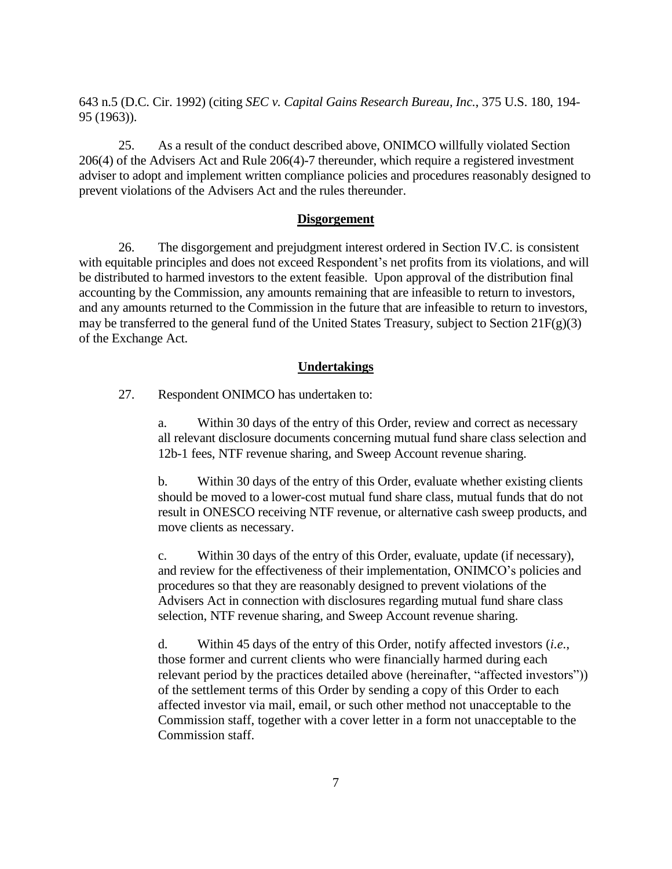643 n.5 (D.C. Cir. 1992) (citing *SEC v. Capital Gains Research Bureau, Inc.*, 375 U.S. 180, 194- 95 (1963)).

25. As a result of the conduct described above, ONIMCO willfully violated Section 206(4) of the Advisers Act and Rule 206(4)-7 thereunder, which require a registered investment adviser to adopt and implement written compliance policies and procedures reasonably designed to prevent violations of the Advisers Act and the rules thereunder.

### **Disgorgement**

26. The disgorgement and prejudgment interest ordered in Section IV.C. is consistent with equitable principles and does not exceed Respondent's net profits from its violations, and will be distributed to harmed investors to the extent feasible. Upon approval of the distribution final accounting by the Commission, any amounts remaining that are infeasible to return to investors, and any amounts returned to the Commission in the future that are infeasible to return to investors, may be transferred to the general fund of the United States Treasury, subject to Section  $21F(g)(3)$ of the Exchange Act.

### **Undertakings**

27. Respondent ONIMCO has undertaken to:

a. Within 30 days of the entry of this Order, review and correct as necessary all relevant disclosure documents concerning mutual fund share class selection and 12b-1 fees, NTF revenue sharing, and Sweep Account revenue sharing.

b. Within 30 days of the entry of this Order, evaluate whether existing clients should be moved to a lower-cost mutual fund share class, mutual funds that do not result in ONESCO receiving NTF revenue, or alternative cash sweep products, and move clients as necessary.

c. Within 30 days of the entry of this Order, evaluate, update (if necessary), and review for the effectiveness of their implementation, ONIMCO's policies and procedures so that they are reasonably designed to prevent violations of the Advisers Act in connection with disclosures regarding mutual fund share class selection, NTF revenue sharing, and Sweep Account revenue sharing.

d. Within 45 days of the entry of this Order, notify affected investors (*i.e.*, those former and current clients who were financially harmed during each relevant period by the practices detailed above (hereinafter, "affected investors")) of the settlement terms of this Order by sending a copy of this Order to each affected investor via mail, email, or such other method not unacceptable to the Commission staff, together with a cover letter in a form not unacceptable to the Commission staff.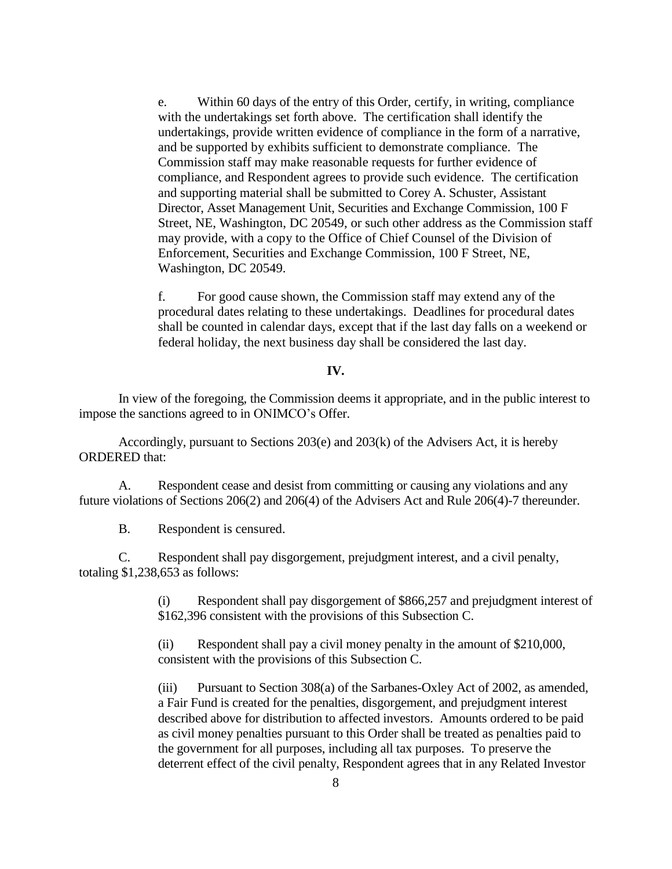e. Within 60 days of the entry of this Order, certify, in writing, compliance with the undertakings set forth above. The certification shall identify the undertakings, provide written evidence of compliance in the form of a narrative, and be supported by exhibits sufficient to demonstrate compliance. The Commission staff may make reasonable requests for further evidence of compliance, and Respondent agrees to provide such evidence. The certification and supporting material shall be submitted to Corey A. Schuster, Assistant Director, Asset Management Unit, Securities and Exchange Commission, 100 F Street, NE, Washington, DC 20549, or such other address as the Commission staff may provide, with a copy to the Office of Chief Counsel of the Division of Enforcement, Securities and Exchange Commission, 100 F Street, NE, Washington, DC 20549.

f. For good cause shown, the Commission staff may extend any of the procedural dates relating to these undertakings. Deadlines for procedural dates shall be counted in calendar days, except that if the last day falls on a weekend or federal holiday, the next business day shall be considered the last day.

### **IV.**

In view of the foregoing, the Commission deems it appropriate, and in the public interest to impose the sanctions agreed to in ONIMCO's Offer.

Accordingly, pursuant to Sections 203(e) and 203(k) of the Advisers Act, it is hereby ORDERED that:

A. Respondent cease and desist from committing or causing any violations and any future violations of Sections 206(2) and 206(4) of the Advisers Act and Rule 206(4)-7 thereunder.

B. Respondent is censured.

C. Respondent shall pay disgorgement, prejudgment interest, and a civil penalty, totaling \$1,238,653 as follows:

> (i) Respondent shall pay disgorgement of \$866,257 and prejudgment interest of \$162,396 consistent with the provisions of this Subsection C.

(ii) Respondent shall pay a civil money penalty in the amount of \$210,000, consistent with the provisions of this Subsection C.

(iii) Pursuant to Section 308(a) of the Sarbanes-Oxley Act of 2002, as amended, a Fair Fund is created for the penalties, disgorgement, and prejudgment interest described above for distribution to affected investors. Amounts ordered to be paid as civil money penalties pursuant to this Order shall be treated as penalties paid to the government for all purposes, including all tax purposes. To preserve the deterrent effect of the civil penalty, Respondent agrees that in any Related Investor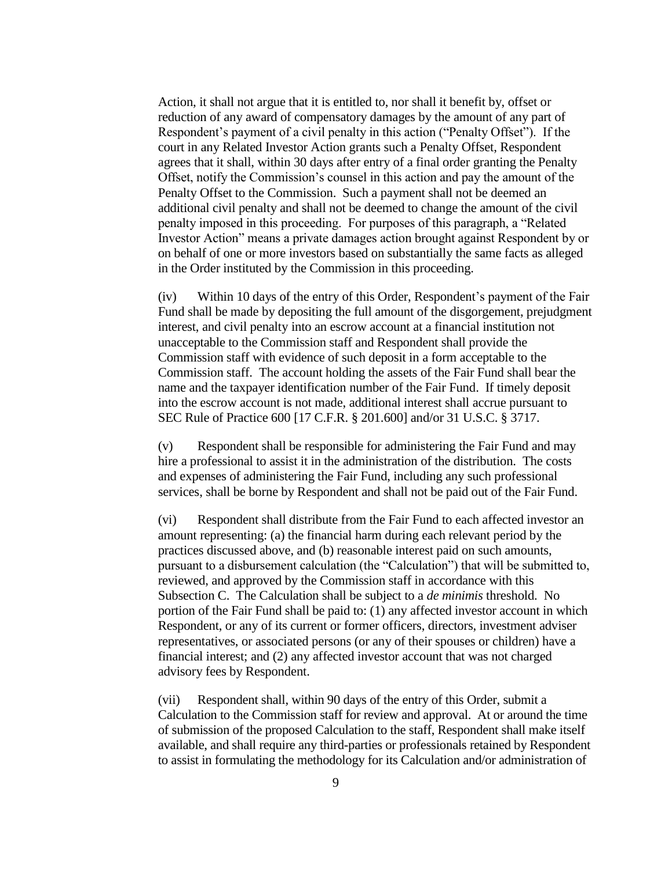Action, it shall not argue that it is entitled to, nor shall it benefit by, offset or reduction of any award of compensatory damages by the amount of any part of Respondent's payment of a civil penalty in this action ("Penalty Offset"). If the court in any Related Investor Action grants such a Penalty Offset, Respondent agrees that it shall, within 30 days after entry of a final order granting the Penalty Offset, notify the Commission's counsel in this action and pay the amount of the Penalty Offset to the Commission. Such a payment shall not be deemed an additional civil penalty and shall not be deemed to change the amount of the civil penalty imposed in this proceeding. For purposes of this paragraph, a "Related Investor Action" means a private damages action brought against Respondent by or on behalf of one or more investors based on substantially the same facts as alleged in the Order instituted by the Commission in this proceeding.

(iv) Within 10 days of the entry of this Order, Respondent's payment of the Fair Fund shall be made by depositing the full amount of the disgorgement, prejudgment interest, and civil penalty into an escrow account at a financial institution not unacceptable to the Commission staff and Respondent shall provide the Commission staff with evidence of such deposit in a form acceptable to the Commission staff. The account holding the assets of the Fair Fund shall bear the name and the taxpayer identification number of the Fair Fund. If timely deposit into the escrow account is not made, additional interest shall accrue pursuant to SEC Rule of Practice 600 [17 C.F.R. § 201.600] and/or 31 U.S.C. § 3717.

(v) Respondent shall be responsible for administering the Fair Fund and may hire a professional to assist it in the administration of the distribution. The costs and expenses of administering the Fair Fund, including any such professional services, shall be borne by Respondent and shall not be paid out of the Fair Fund.

(vi) Respondent shall distribute from the Fair Fund to each affected investor an amount representing: (a) the financial harm during each relevant period by the practices discussed above, and (b) reasonable interest paid on such amounts, pursuant to a disbursement calculation (the "Calculation") that will be submitted to, reviewed, and approved by the Commission staff in accordance with this Subsection C. The Calculation shall be subject to a *de minimis* threshold. No portion of the Fair Fund shall be paid to: (1) any affected investor account in which Respondent, or any of its current or former officers, directors, investment adviser representatives, or associated persons (or any of their spouses or children) have a financial interest; and (2) any affected investor account that was not charged advisory fees by Respondent.

(vii) Respondent shall, within 90 days of the entry of this Order, submit a Calculation to the Commission staff for review and approval. At or around the time of submission of the proposed Calculation to the staff, Respondent shall make itself available, and shall require any third-parties or professionals retained by Respondent to assist in formulating the methodology for its Calculation and/or administration of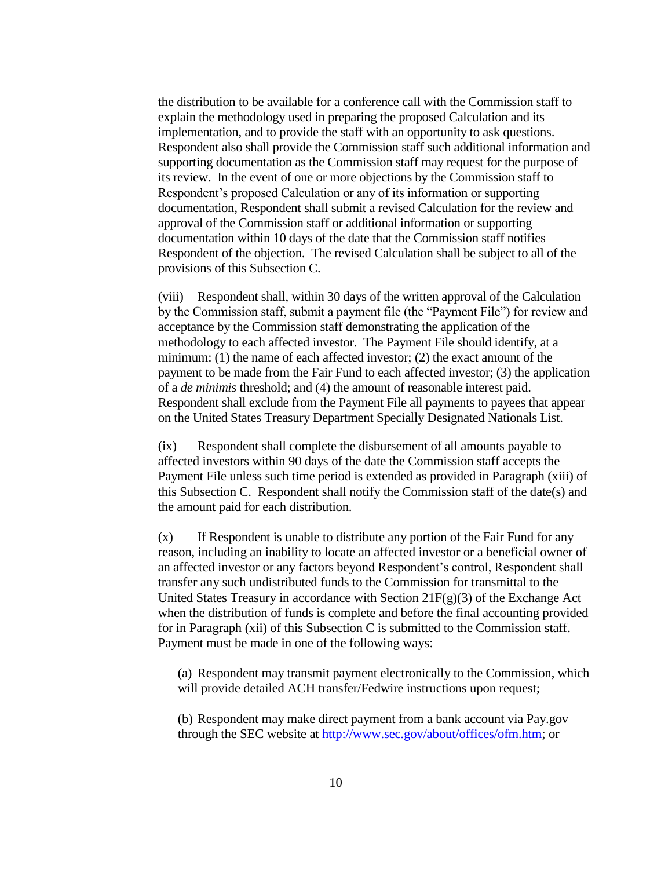the distribution to be available for a conference call with the Commission staff to explain the methodology used in preparing the proposed Calculation and its implementation, and to provide the staff with an opportunity to ask questions. Respondent also shall provide the Commission staff such additional information and supporting documentation as the Commission staff may request for the purpose of its review. In the event of one or more objections by the Commission staff to Respondent's proposed Calculation or any of its information or supporting documentation, Respondent shall submit a revised Calculation for the review and approval of the Commission staff or additional information or supporting documentation within 10 days of the date that the Commission staff notifies Respondent of the objection. The revised Calculation shall be subject to all of the provisions of this Subsection C.

(viii) Respondent shall, within 30 days of the written approval of the Calculation by the Commission staff, submit a payment file (the "Payment File") for review and acceptance by the Commission staff demonstrating the application of the methodology to each affected investor. The Payment File should identify, at a minimum: (1) the name of each affected investor; (2) the exact amount of the payment to be made from the Fair Fund to each affected investor; (3) the application of a *de minimis* threshold; and (4) the amount of reasonable interest paid. Respondent shall exclude from the Payment File all payments to payees that appear on the United States Treasury Department Specially Designated Nationals List.

(ix) Respondent shall complete the disbursement of all amounts payable to affected investors within 90 days of the date the Commission staff accepts the Payment File unless such time period is extended as provided in Paragraph (xiii) of this Subsection C. Respondent shall notify the Commission staff of the date(s) and the amount paid for each distribution.

(x) If Respondent is unable to distribute any portion of the Fair Fund for any reason, including an inability to locate an affected investor or a beneficial owner of an affected investor or any factors beyond Respondent's control, Respondent shall transfer any such undistributed funds to the Commission for transmittal to the United States Treasury in accordance with Section  $21F(g)(3)$  of the Exchange Act when the distribution of funds is complete and before the final accounting provided for in Paragraph (xii) of this Subsection C is submitted to the Commission staff. Payment must be made in one of the following ways:

(a) Respondent may transmit payment electronically to the Commission, which will provide detailed ACH transfer/Fedwire instructions upon request;

(b) Respondent may make direct payment from a bank account via Pay.gov through the SEC website at [http://www.sec.gov/about/offices/ofm.htm;](http://www.sec.gov/about/offices/ofm.htm) or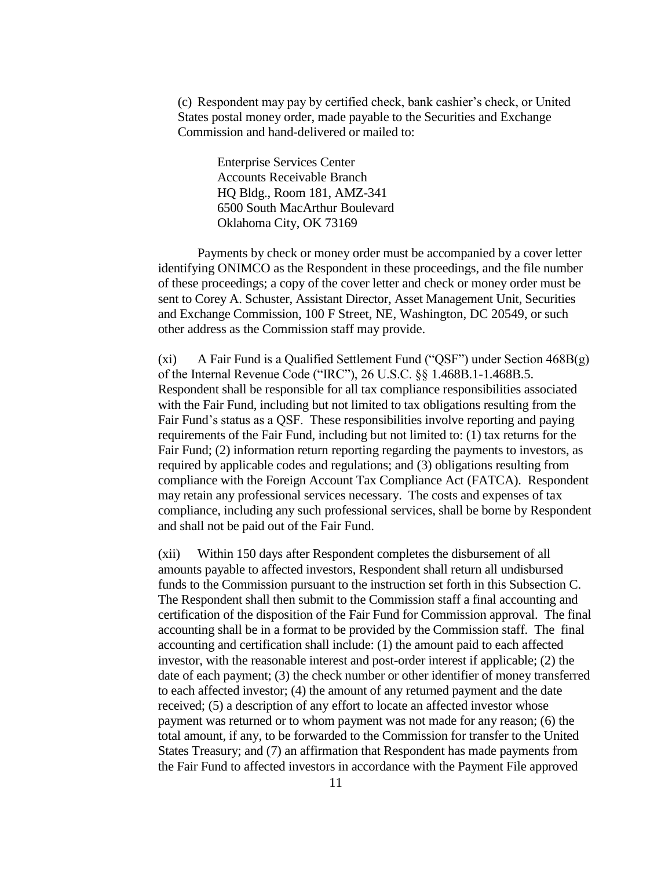(c) Respondent may pay by certified check, bank cashier's check, or United States postal money order, made payable to the Securities and Exchange Commission and hand-delivered or mailed to:

> Enterprise Services Center Accounts Receivable Branch HQ Bldg., Room 181, AMZ-341 6500 South MacArthur Boulevard Oklahoma City, OK 73169

Payments by check or money order must be accompanied by a cover letter identifying ONIMCO as the Respondent in these proceedings, and the file number of these proceedings; a copy of the cover letter and check or money order must be sent to Corey A. Schuster, Assistant Director, Asset Management Unit, Securities and Exchange Commission, 100 F Street, NE, Washington, DC 20549, or such other address as the Commission staff may provide.

(xi) A Fair Fund is a Qualified Settlement Fund ("QSF") under Section  $468B(g)$ of the Internal Revenue Code ("IRC"), 26 U.S.C. §§ 1.468B.1-1.468B.5. Respondent shall be responsible for all tax compliance responsibilities associated with the Fair Fund, including but not limited to tax obligations resulting from the Fair Fund's status as a QSF. These responsibilities involve reporting and paying requirements of the Fair Fund, including but not limited to: (1) tax returns for the Fair Fund; (2) information return reporting regarding the payments to investors, as required by applicable codes and regulations; and (3) obligations resulting from compliance with the Foreign Account Tax Compliance Act (FATCA). Respondent may retain any professional services necessary. The costs and expenses of tax compliance, including any such professional services, shall be borne by Respondent and shall not be paid out of the Fair Fund.

(xii) Within 150 days after Respondent completes the disbursement of all amounts payable to affected investors, Respondent shall return all undisbursed funds to the Commission pursuant to the instruction set forth in this Subsection C. The Respondent shall then submit to the Commission staff a final accounting and certification of the disposition of the Fair Fund for Commission approval. The final accounting shall be in a format to be provided by the Commission staff. The final accounting and certification shall include: (1) the amount paid to each affected investor, with the reasonable interest and post-order interest if applicable; (2) the date of each payment; (3) the check number or other identifier of money transferred to each affected investor; (4) the amount of any returned payment and the date received; (5) a description of any effort to locate an affected investor whose payment was returned or to whom payment was not made for any reason; (6) the total amount, if any, to be forwarded to the Commission for transfer to the United States Treasury; and (7) an affirmation that Respondent has made payments from the Fair Fund to affected investors in accordance with the Payment File approved